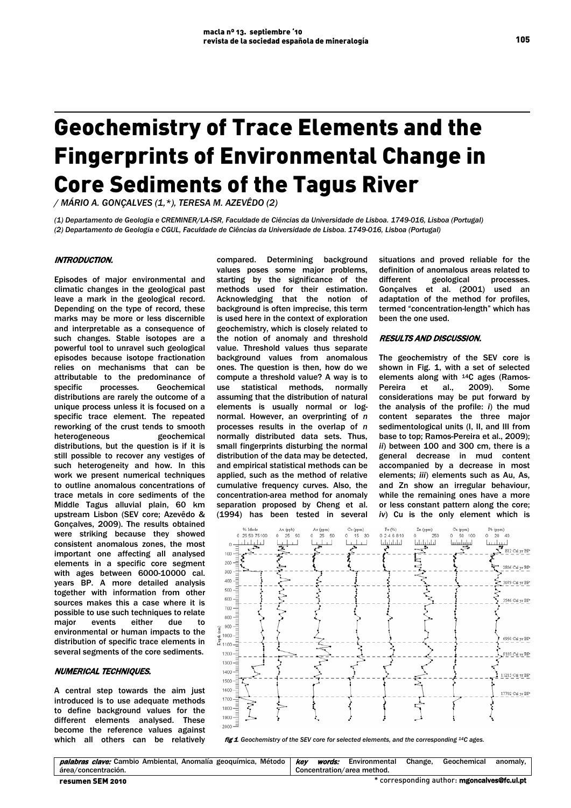# Geochemistry of Trace Elements and the Fingerprints of Environmental Change in Core Sediments of the Tagus River

*/ MÁRIO A. GONÇALVES (1,\*), TERESA M. AZEVÊDO (2)*

*(1) Departamento de Geologia e CREMINER/LA-ISR, Faculdade de Ciências da Universidade de Lisboa. 1749-016, Lisboa (Portugal) (2) Departamento de Geologia e CGUL, Faculdade de Ciências da Universidade de Lisboa. 1749-016, Lisboa (Portugal)*

### INTRODUCTION.

Episodes of major environmental and climatic changes in the geological past leave a mark in the geological record. Depending on the type of record, these marks may be more or less discernible and interpretable as a consequence of such changes. Stable isotopes are a powerful tool to unravel such geological episodes because isotope fractionation relies on mechanisms that can be attributable to the predominance of specific processes. Geochemical distributions are rarely the outcome of a unique process unless it is focused on a specific trace element. The repeated reworking of the crust tends to smooth heterogeneous geochemical distributions, but the question is if it is still possible to recover any vestiges of such heterogeneity and how. In this work we present numerical techniques to outline anomalous concentrations of trace metals in core sediments of the Middle Tagus alluvial plain, 60 km upstream Lisbon (SEV core; Azevêdo & Gonçalves, 2009). The results obtained were striking because they showed consistent anomalous zones, the most important one affecting all analysed elements in a specific core segment with ages between 6000-10000 cal. years BP. A more detailed analysis together with information from other sources makes this a case where it is possible to use such techniques to relate major events either due to environmental or human impacts to the distribution of specific trace elements in several segments of the core sediments.

## NUMERICAL TECHNIQUES.

A central step towards the aim just introduced is to use adequate methods to define background values for the different elements analysed. These become the reference values against which all others can be relatively

compared. Determining background values poses some major problems, starting by the significance of the methods used for their estimation. Acknowledging that the notion of background is often imprecise, this term is used here in the context of exploration geochemistry, which is closely related to the notion of anomaly and threshold value. Threshold values thus separate background values from anomalous ones. The question is then, how do we compute a threshold value? A way is to use statistical methods, normally assuming that the distribution of natural elements is usually normal or lognormal. However, an overprinting of *n* processes results in the overlap of *n* normally distributed data sets. Thus, small fingerprints disturbing the normal distribution of the data may be detected, and empirical statistical methods can be applied, such as the method of relative cumulative frequency curves. Also, the concentration-area method for anomaly separation proposed by Cheng et al. (1994) has been tested in several situations and proved reliable for the definition of anomalous areas related to different geological processes. Gonçalves et al. (2001) used an adaptation of the method for profiles, termed "concentration-length" which has been the one used.

#### RESULTS AND DISCUSSION.

The geochemistry of the SEV core is shown in Fig. 1, with a set of selected elements along with 14C ages (Ramos-Pereira et al., 2009). Some considerations may be put forward by the analysis of the profile: *i*) the mud content separates the three major sedimentological units (I, II, and III from base to top; Ramos-Pereira et al., 2009); *ii*) between 100 and 300 cm, there is a general decrease in mud content accompanied by a decrease in most elements; *iii*) elements such as Au, As, and Zn show an irregular behaviour, while the remaining ones have a more or less constant pattern along the core; *iv*) Cu is the only element which is



fig 1 Geochemistry of the SEV core for selected elements, and the corresponding <sup>14</sup>C ages.

| palabras clave: Cambio Ambiental, Anomalía geoquímica, Método | kev                                         |  | <i>words:</i> Environmental | Change. | Geochemical | anomalv. |
|---------------------------------------------------------------|---------------------------------------------|--|-----------------------------|---------|-------------|----------|
| área/concentración.                                           | Concentration/area method.                  |  |                             |         |             |          |
| resumen SEM 2010                                              | f corresponding author: mgoncalves@fc.ul.pt |  |                             |         |             |          |